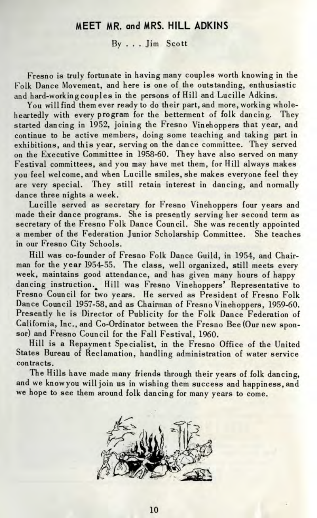## MEET MR. and MRS. HILL ADKINS

By ... Jim Scott

Fresno is truly fortunate in having many couples worth knowing in the Folk Dance Movement, and here is one of the outstanding, enthusiastic and hard-workingcouples in the persons of Hill and Lucille Adkins.

You will find them ever ready to do their part, and more, working wholeheartedly with every program for the betterment of folk dancing. They started dancing in 1952, joining the Fresno Vinehoppers that year, and continue to be active members, doing some teaching and taking part in exhibitions, and this year, serving on the dance committee. They served on the Executive Committee in 1958-60. They have also served on many Festival committees, and you may have met them, for Hill always makes you feel welcome, and when Lucille smiles, she makes everyone feel they are very special. They still retain interest in dancing, and normally dance three nights a week.

Lucille served as secretary for Fresno Vinehoppers four years and made their dance programs. She is presently serving her second term as secretary of the Fresno Folk Dance Council. She was recently appointed a member of the Federation Junior Scholarship Committee. She teaches in our Fresno City Schools.

Hill was co-founder of Fresno Folk Dance Guild, in 1954, and Chairman for the year 1954-55. The class, well organized, still meets every week, maintains good attendance, and has given many hours of happy dancing instruction. Hill was Fresno Vinehoppers' Representative to Fresno Council for two years. He served as President of Fresno Folk Dance Council 1957-58, and as Chairman of Fresno Vinehoppers, 1959-60. Presently he is Director of Publicity for the Folk Dance Federation of California, Inc., and Co-Ordinator between the Fresno Bee (Our new sponsor) and Fresno Council for the Fall Festival, 1960.

Hill is a Repayment Specialist, in the Fresno Office of the United States Bureau of Reclamation, handling administration of water service contracts.

The Hills have made many friends through their years of folk dancing, and we knowyou will join us in wishing them success and happiness, and we hope to see them around folk dancing for many years to come.